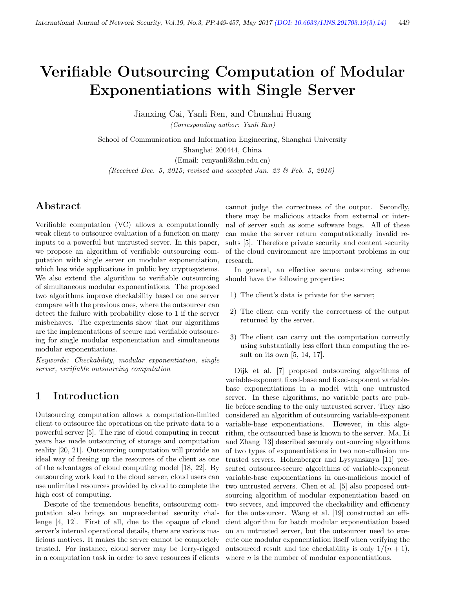# Verifiable Outsourcing Computation of Modular Exponentiations with Single Server

Jianxing Cai, Yanli Ren, and Chunshui Huang (Corresponding author: Yanli Ren)

School of Communication and Information Engineering, Shanghai University Shanghai 200444, China (Email: renyanli@shu.edu.cn)

(Received Dec. 5, 2015; revised and accepted Jan. 23  $\mathcal{B}$  Feb. 5, 2016)

# Abstract

Verifiable computation (VC) allows a computationally weak client to outsource evaluation of a function on many inputs to a powerful but untrusted server. In this paper, we propose an algorithm of verifiable outsourcing computation with single server on modular exponentiation, which has wide applications in public key cryptosystems. We also extend the algorithm to verifiable outsourcing of simultaneous modular exponentiations. The proposed two algorithms improve checkability based on one server compare with the previous ones, where the outsourcer can detect the failure with probability close to 1 if the server misbehaves. The experiments show that our algorithms are the implementations of secure and verifiable outsourcing for single modular exponentiation and simultaneous modular exponentiations.

Keywords: Checkability, modular exponentiation, single server, verifiable outsourcing computation

### 1 Introduction

Outsourcing computation allows a computation-limited client to outsource the operations on the private data to a powerful server [5]. The rise of cloud computing in recent years has made outsourcing of storage and computation reality [20, 21]. Outsourcing computation will provide an ideal way of freeing up the resources of the client as one of the advantages of cloud computing model [18, 22]. By outsourcing work load to the cloud server, cloud users can use unlimited resources provided by cloud to complete the high cost of computing.

Despite of the tremendous benefits, outsourcing computation also brings an unprecedented security challenge [4, 12]. First of all, due to the opaque of cloud server's internal operational details, there are various malicious motives. It makes the server cannot be completely trusted. For instance, cloud server may be Jerry-rigged in a computation task in order to save resources if clients

cannot judge the correctness of the output. Secondly, there may be malicious attacks from external or internal of server such as some software bugs. All of these can make the server return computationally invalid results [5]. Therefore private security and content security of the cloud environment are important problems in our research.

In general, an effective secure outsourcing scheme should have the following properties:

- 1) The client's data is private for the server;
- 2) The client can verify the correctness of the output returned by the server.
- 3) The client can carry out the computation correctly using substantially less effort than computing the result on its own [5, 14, 17].

Dijk et al. [7] proposed outsourcing algorithms of variable-exponent fixed-base and fixed-exponent variablebase exponentiations in a model with one untrusted server. In these algorithms, no variable parts are public before sending to the only untrusted server. They also considered an algorithm of outsourcing variable-exponent variable-base exponentiations. However, in this algorithm, the outsourced base is known to the server. Ma, Li and Zhang [13] described securely outsourcing algorithms of two types of exponentiations in two non-collusion untrusted servers. Hohenberger and Lysyanskaya [11] presented outsource-secure algorithms of variable-exponent variable-base exponentiations in one-malicious model of two untrusted servers. Chen et al. [5] also proposed outsourcing algorithm of modular exponentiation based on two servers, and improved the checkability and efficiency for the outsourcer. Wang et al. [19] constructed an efficient algorithm for batch modular exponentiation based on an untrusted server, but the outsourcer need to execute one modular exponentiation itself when verifying the outsourced result and the checkability is only  $1/(n+1)$ , where  $n$  is the number of modular exponentiations.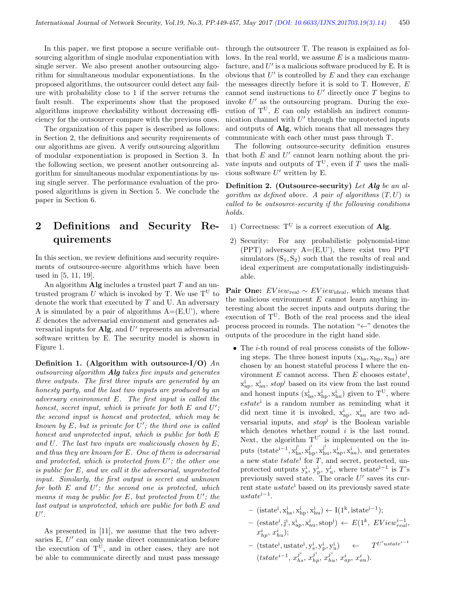In this paper, we first propose a secure verifiable outsourcing algorithm of single modular exponentiation with single server. We also present another outsourcing algorithm for simultaneous modular exponentiations. In the proposed algorithms, the outsourcer could detect any failure with probability close to 1 if the server returns the fault result. The experiments show that the proposed algorithms improve checkability without decreasing efficiency for the outsourcer compare with the previous ones.

The organization of this paper is described as follows: in Section 2, the definitions and security requirements of our algorithms are given. A verify outsourcing algorithm of modular exponentiation is proposed in Section 3. In the following section, we present another outsourcing algorithm for simultaneous modular exponentiations by using single server. The performance evaluation of the proposed algorithms is given in Section 5. We conclude the paper in Section 6.

# 2 Definitions and Security Requirements

In this section, we review definitions and security requirements of outsource-secure algorithms which have been used in [5, 11, 19].

An algorithm  $\mathbf{Alg}$  includes a trusted part T and an untrusted program U which is invoked by T. We use  $T^U$  to denote the work that executed by  $T$  and U. An adversary A is simulated by a pair of algorithms  $A=(E,U')$ , where E denotes the adversarial environment and generates adversarial inputs for  $\mathbf{Alg}$ , and  $U'$  represents an adversarial software written by E. The security model is shown in Figure 1.

Definition 1. (Algorithm with outsource- $I/O$ ) An outsourcing algorithm Alg takes five inputs and generates three outputs. The first three inputs are generated by an honesty party, and the last two inputs are produced by an adversary environment E. The first input is called the honest, secret input, which is private for both  $E$  and  $U'$ ; the second input is honest and protected, which may be known by  $E$ , but is private for  $U'$ ; the third one is called honest and unprotected input, which is public for both E and U. The last two inputs are maliciously chosen by E, and thus they are known for  $E$ . One of them is adversarial and protected, which is protected from  $U'$ ; the other one is public for E, and we call it the adversarial, unprotected input. Similarly, the first output is secret and unknown for both  $E$  and  $U'$ ; the second one is protected, which means it may be public for  $E$ , but protected from  $U'$ ; the last output is unprotected, which are public for both E and  $U'.$ 

As presented in [11], we assume that the two adversaries  $E, U'$  can only make direct communication before the execution of  $T^U$ , and in other cases, they are not be able to communicate directly and must pass message through the outsourcer T. The reason is explained as follows. In the real world, we assume  $E$  is a malicious manufacture, and  $U'$  is a malicious software produced by E. It is obvious that  $U'$  is controlled by  $E$  and they can exchange the messages directly before it is sold to T. However, E cannot send instructions to  $U'$  directly once T begins to invoke  $U'$  as the outsourcing program. During the execution of  $T^U$ , E can only establish an indirect communication channel with  $U'$  through the unprotected inputs and outputs of Alg, which means that all messages they communicate with each other must pass through T.

The following outsource-security definition ensures that both  $E$  and  $U'$  cannot learn nothing about the private inputs and outputs of  $T^U$ , even if T uses the malicious software  $U'$  written by E.

Definition 2. (Outsource-security) Let Alg be an algorithm as defined above. A pair of algorithms  $(T, U)$  is called to be outsource-security if the following conditions holds.

- 1) Correctness:  $T^U$  is a correct execution of Alg.
- 2) Security: For any probabilistic polynomial-time (PPT) adversary  $A=(E,U')$ , there exist two PPT simulators  $(S_1, S_2)$  such that the results of real and ideal experiment are computationally indistinguishable.

**Pair One:**  $EView_{\text{real}} \sim EView_{\text{ideal}}$ , which means that the malicious environment  $E$  cannot learn anything interesting about the secret inputs and outputs during the execution of  $T^U$ . Both of the real process and the ideal process proceed in rounds. The notation "←" denotes the outputs of the procedure in the right hand side.

- The *i*-th round of real process consists of the following steps. The three honest inputs  $(x_{hs}, x_{hn}, x_{hu})$  are chosen by an honest stateful process I where the environment  $E$  cannot access. Then  $E$  chooses estate<sup>i</sup>,  $x_{\rm ap}^{\rm i}$ ,  $x_{\rm au}^{\rm i}$ ,  $stop^{\rm i}$  based on its view from the last round and honest inputs  $(x_{hs}^i, x_{hp}^i, x_{hu}^i)$  given to  $T^U$ , where estate<sup>i</sup> is a random number as reminding what it did next time it is invoked,  $x_{ap}^i$ ,  $x_{au}^i$  are two adversarial inputs, and  $stop<sup>i</sup>$  is the Boolean variable which denotes whether round  $i$  is the last round. Next, the algorithm  $T^{U'}$  is implemented on the inputs (tstate<sup>i-1</sup>,  $x_{hs}^{j^i}$ ,  $x_{hp}^{j^i}$ ,  $x_{hu}^{j^i}$ ,  $x_{ap}^i$ ,  $x_{au}^i$ ), and generates a new state  $tstate^i$  for T, and secret, protected, unprotected outputs  $y_s^i$ ,  $y_p^i$ ,  $y_u^i$ , where tstate<sup>i-1</sup> is T's previously saved state. The oracle  $U'$  saves its current state  $ustate^i$  based on its previously saved state  $ustate^{i-1}.$ 
	- $-$  (istate<sup>i</sup>, x<sup>i</sup><sub>hs</sub>, x<sup>i</sup><sub>hp</sub>, x<sup>i</sup><sub>hu</sub>) ← I(1<sup>k</sup>, istate<sup>i-1</sup>);  $-$  (estate<sup>i</sup>, j<sup>i</sup>, x<sub>ap</sub>, x<sub>au</sub>, stop<sup>i</sup>)  $\leftarrow E(1^k, EView_{real}^{i-1},$  $x_{hp}^i, x_{hu}^i);$
	- $-$  (tstate<sup>i</sup>, ustate<sup>i</sup>, y<sub>s</sub><sup>i</sup>, y<sub>p</sub><sup>i</sup>, y<sub>u</sub><sup>i</sup>)  $\leftarrow$   $T^{U' u state^{i-1}}$  $(tstate^{i-1}, x_{hs}^{j^i}, x_{hp}^{j^i}, x_{hu}^{j^i}, x_{ap}^i, x_{au}^i).$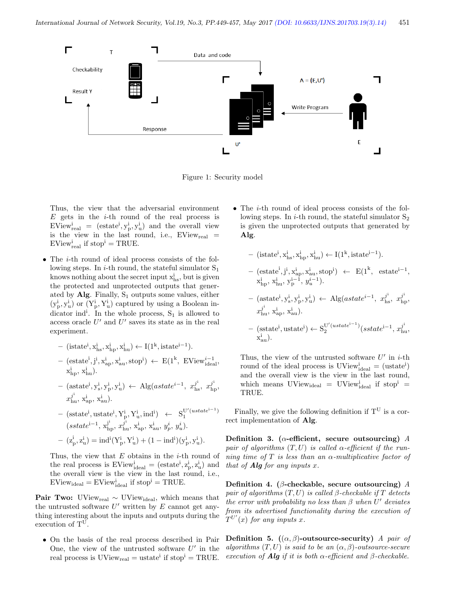

Figure 1: Security model

Thus, the view that the adversarial environment  $E$  gets in the *i*-th round of the real process is  $EView_{\text{real}}^i = (estate^i, y_p^i, y_u^i)$  and the overall view is the view in the last round, i.e.,  $EView_{real}$  =  $EV$ iew<sup>i</sup><sub>real</sub> if stop<sup>i</sup> = TRUE.

• The *i*-th round of ideal process consists of the following steps. In *i*-th round, the stateful simulator  $S_1$ knows nothing about the secret input  $x<sub>hs</sub><sup>i</sup>$ , but is given the protected and unprotected outputs that generated by Alg. Finally,  $S_1$  outputs some values, either  $(y_p^i, y_u^i)$  or  $(Y_p^i, Y_u^i)$  captured by using a Boolean indicator ind<sup>i</sup>. In the whole process,  $S_1$  is allowed to access oracle  $U'$  and  $U'$  saves its state as in the real experiment.

$$
\left. - \text{ (istate}^i, x_{hs}^i, x_{hp}^i, x_{hu}^i \right) \leftarrow I(1^k, istate^{i-1}).
$$

- $-$  (estate<sup>i</sup>, j<sup>i</sup>, x<sub>ap</sub>, x<sub>au</sub>, stop<sup>i</sup>)  $\leftarrow E(1^k, EView_{ideal}^{i-1},$  $x_{hp}^i, x_{hu}^i$ ).
- $-$  (astate<sup>i</sup>, y<sub>1</sub><sup>i</sup>, y<sub>1</sub><sup>i</sup>) ← Alg(astate<sup>i-1</sup>,  $x_{\text{hs}}^{j^i}$ ,  $x_{\text{hp}}^{j^i}$  $x_{\rm hu}^j$ ,  $x_{\rm ap}^{\rm i}$ ,  $x_{\rm au}^{\rm i}$ ).
- $-$  (sstate<sup>i</sup>, ustate<sup>i</sup>, Y<sub>p</sub>, Y<sub>u</sub>, ind<sup>i</sup>)  $\leftarrow$  S<sub>1</sub><sup>U'(ustate<sup>i-1</sup>)</sup>  $(sstate^{i-1}, x_{hp}^{j^i}, x_{hu}^{j^i}, x_{ap}^i, x_{au}^i, y_p^i, y_u^i).$  $- (z_p^i, z_u^i) = ind^i(Y_p^i, Y_u^i) + (1 - ind^i)(y_p^i, y_u^i).$

Thus, the view that  $E$  obtains in the  $i$ -th round of the real process is  $EV$ iew<sup>i</sup><sub>ideal</sub> = (estate<sup>i</sup>,  $z_p^i$ ,  $z_u^i$ ) and the overall view is the view in the last round, i.e.,  $EV$ iew<sub>ideal</sub> =  $EV$ iew<sup>i</sup><sub>ideal</sub> if stop<sup>i</sup> = TRUE.

**Pair Two:** UView<sub>real</sub>  $\sim$  UView<sub>ideal</sub>, which means that the untrusted software  $U'$  written by  $E$  cannot get anything interesting about the inputs and outputs during the execution of  $T^U$ .

• On the basis of the real process described in Pair One, the view of the untrusted software  $U'$  in the real process is  $UView_{real} = ustate^i$  if  $stop^i = TRUE$ . • The *i*-th round of ideal process consists of the following steps. In *i*-th round, the stateful simulator  $S_2$ is given the unprotected outputs that generated by Alg.

$$
\quad - \text{ (istate}^i, x_{hs}^i, x_{hp}^i, x_{hu}^i) \leftarrow I(1^k, istate^{i-1}).
$$

 $-$  (estate<sup>i</sup>, j<sup>i</sup>, x<sub>ap</sub>, x<sub>au</sub>, stop<sup>i</sup>) ← E(1<sup>k</sup>, estate<sup>i-1</sup>,  $x_{hp}^i, x_{hu}^i, y_p^{i-1}, y_u^{i-1}.$ 

 $-$  (astate<sup>i</sup>, y<sub>1</sub><sup>i</sup>, y<sub>1</sub><sup>i</sup>) ← Alg(astate<sup>i-1</sup>,  $x_{\text{hs}}^{j^i}$ ,  $x_{\text{hp}}^{j^i}$  $x_{\rm hu}^j$ ,  $x_{\rm ap}^{\rm i}$ ,  $x_{\rm au}^{\rm i}$ ).

 $-$  (sstate<sup>i</sup>, ustate<sup>i</sup>) ← S<sub>2</sub><sup>U'(ustate<sup>i-1</sup>)</sup>(sstate<sup>i-1</sup>, x<sub>hu</sub><sup>j</sup>  $\mathbf{x}_{\text{au}}^{\text{i}}$ ).

Thus, the view of the untrusted software  $U'$  in *i*-th round of the ideal process is  $UView^i_{ideal} = (ustate^i)$ and the overall view is the view in the last round, which means  $UView_{ideal} = UView_{ideal}$  if stop<sup>i</sup> = TRUE.

Finally, we give the following definition if  $T^U$  is a correct implementation of Alg.

Definition 3. ( $\alpha$ -efficient, secure outsourcing) A pair of algorithms  $(T, U)$  is called  $\alpha$ -efficient if the running time of T is less than an  $\alpha$ -multiplicative factor of that of  $\mathbf{Alg}$  for any inputs x.

Definition 4. ( $\beta$ -checkable, secure outsourcing) A pair of algorithms  $(T, U)$  is called  $\beta$ -checkable if  $T$  detects the error with probability no less than  $\beta$  when  $U'$  deviates from its advertised functionality during the execution of  $T^{U'}(x)$  for any inputs x.

Definition 5.  $((\alpha, \beta)$ -outsource-security) A pair of algorithms  $(T, U)$  is said to be an  $(\alpha, \beta)$ -outsource-secure execution of **Alg** if it is both  $\alpha$ -efficient and  $\beta$ -checkable.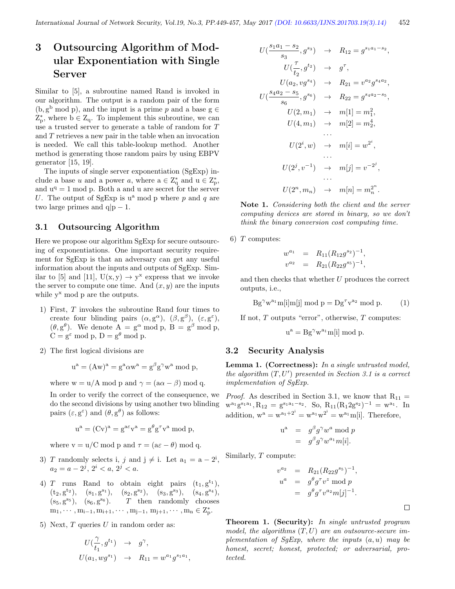# 3 Outsourcing Algorithm of Modular Exponentiation with Single Server

Similar to [5], a subroutine named Rand is invoked in our algorithm. The output is a random pair of the form  $(b, g<sup>b</sup> \mod p)$ , and the input is a prime p and a base  $g \in$  $Z_p^*$ , where  $b \in Z_q$ . To implement this subroutine, we can use a trusted server to generate a table of random for T and T retrieves a new pair in the table when an invocation is needed. We call this table-lookup method. Another method is generating those random pairs by using EBPV generator [15, 19].

The inputs of single server exponentiation (SgExp) include a base u and a power a, where  $a \in \mathbb{Z}_q^*$  and  $u \in \mathbb{Z}_p^*$ , and  $u^q = 1$  mod p. Both a and u are secret for the server U. The output of SgExp is  $u^a$  mod p where p and q are two large primes and  $q|p-1$ .

#### 3.1 Outsourcing Algorithm

Here we propose our algorithm SgExp for secure outsourcing of exponentiations. One important security requirement for SgExp is that an adversary can get any useful information about the inputs and outputs of SgExp. Similar to [5] and [11],  $U(x, y) \rightarrow y^x$  express that we invoke the server to compute one time. And  $(x, y)$  are the inputs while  $y^x$  mod  $p$  are the outputs.

- 1) First, T invokes the subroutine Rand four times to create four blinding pairs  $(\alpha, g^{\alpha})$ ,  $(\beta, g^{\beta})$ ,  $(\varepsilon, g^{\varepsilon})$ ,  $(\theta, g^{\theta})$ . We denote  $A = g^{\alpha} \mod p$ ,  $B = g^{\beta} \mod p$ ,  $C = g^{\varepsilon} \mod p$ ,  $D = g^{\theta} \mod p$ .
- 2) The first logical divisions are

$$
u^{a} = (Aw)^{a} = g^{a} \alpha w^{a} = g^{\beta} g^{\gamma} w^{a} \text{ mod } p,
$$

where  $w = u/A \mod p$  and  $\gamma = (a\alpha - \beta) \mod q$ .

In order to verify the correct of the consequence, we do the second divisions by using another two blinding pairs  $(\varepsilon, g^{\varepsilon})$  and  $(\theta, g^{\theta})$  as follows:

$$
u^{a} = (Cv)^{a} = g^{a\varepsilon}v^{a} = g^{\theta}g^{\tau}v^{a} \bmod p,
$$

where  $v = u/C \mod p$  and  $\tau = (a\varepsilon - \theta) \mod q$ .

- 3) T randomly selects i, j and  $j \neq i$ . Let  $a_1 = a 2^i$ ,  $a_2 = a - 2^j, \, 2^i < a, \, 2^j < a.$
- 4) T runs Rand to obtain eight pairs  $(t_1, g^{t_1})$ ,  $(t_2, g<sup>t_2</sup>), (s_1, g<sup>s_1</sup>), (s_2, g<sup>s_2</sup>), (s_3, g<sup>s_3</sup>), (s_4, g<sup>s_4</sup>),$  $(s_5, g^{s_5}), (s_6, g)$  $T$  then randomly chooses  $m_1, \dots, m_{i-1}, m_{i+1}, \dots, m_{j-1}, m_{j+1}, \dots, m_n \in Z_p^*$ .
- 5) Next,  $T$  queries  $U$  in random order as:

$$
U(\frac{\gamma}{t_1}, g^{t_1}) \rightarrow g^{\gamma},
$$
  

$$
U(a_1, wg^{s_1}) \rightarrow R_{11} = w^{a_1}g^{s_1a_1},
$$

$$
U\left(\frac{s_1a_1 - s_2}{s_3}, g^{s_3}\right) \rightarrow R_{12} = g^{s_1a_1 - s_2},
$$
  
\n
$$
U\left(\frac{\tau}{t_2}, g^{t_2}\right) \rightarrow g^{\tau},
$$
  
\n
$$
U(a_2, v g^{s_4}) \rightarrow R_{21} = v^{a_2} g^{s_4a_2},
$$
  
\n
$$
U\left(\frac{s_4a_2 - s_5}{s_6}, g^{s_6}\right) \rightarrow R_{22} = g^{s_4a_2 - s_5},
$$
  
\n
$$
U(2, m_1) \rightarrow m[1] = m_1^2,
$$
  
\n
$$
U(4, m_1) \rightarrow m[2] = m_2^4,
$$
  
\n...  
\n
$$
U(2^i, w) \rightarrow m[i] = w^{2^i},
$$
  
\n...  
\n
$$
U(2^j, v^{-1}) \rightarrow m[j] = v^{-2^j},
$$
  
\n...  
\n
$$
U(2^n, m_n) \rightarrow m[n] = m_n^{2^n}.
$$

Note 1. Considering both the client and the server computing devices are stored in binary, so we don't think the binary conversion cost computing time.

6)  $T$  computes:

$$
w^{a_1} = R_{11}(R_{12}g^{s_2})^{-1},
$$
  

$$
v^{a_2} = R_{21}(R_{22}g^{s_5})^{-1},
$$

and then checks that whether U produces the correct outputs, i.e.,

 $\text{Bg}^{\gamma}w^{a_1}m[i]m[j] \text{ mod } p = \text{Dg}^{\tau}v^{a_2} \text{ mod } p.$  (1)

If not,  $T$  outputs "error", otherwise,  $T$  computes:

$$
u^a = Bg^{\gamma}w^{a_1}m[i] \bmod p.
$$

#### 3.2 Security Analysis

Lemma 1. (Correctness): In a single untrusted model, the algorithm  $(T, U')$  presented in Section 3.1 is a correct implementation of SgExp.

*Proof.* As described in Section 3.1, we know that  $R_{11}$  =  $w^{a_1}g^{s_1a_1}, R_{12} = g^{s_1a_1-s_2}.$  So,  $R_{11}(R_12g^{s_2})^{-1} = w^{a_1}.$  In addition,  $w^a = w^{a_1+2^i} = w^{a_1}w^{2^i} = w^{a_1}m[i]$ . Therefore,

$$
u^{a} = g^{\beta} g^{\gamma} w^{a} \bmod p
$$
  

$$
= g^{\beta} g^{\gamma} w^{a_{1}} m[i].
$$

Similarly, T compute:

$$
v^{a_2} = R_{21}(R_{22}g^{s_5})^{-1},
$$
  
\n
$$
u^a = g^{\theta}g^{\tau}v^z \mod p
$$
  
\n
$$
= g^{\theta}g^{\tau}v^{a_2}m[j]^{-1}.
$$

 $\Box$ 

**Theorem 1. (Security):** In single untrusted program model, the algorithms  $(T, U)$  are an outsource-secure implementation of  $SqExp$ , where the inputs  $(a, u)$  may be honest, secret; honest, protected; or adversarial, protected.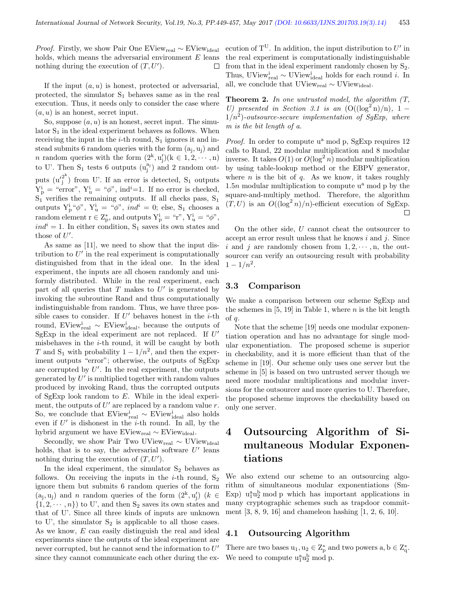*Proof.* Firstly, we show Pair One EView<sub>real</sub> ∼ EView<sub>ideal</sub> holds, which means the adversarial environment  $E$  leans nothing during the execution of  $(T, U')$ . □

If the input  $(a, u)$  is honest, protected or adversarial, protected, the simulator  $S_1$  behaves same as in the real execution. Thus, it needs only to consider the case where  $(a, u)$  is an honest, secret input.

So, suppose  $(a, u)$  is an honest, secret input. The simulator  $S_1$  in the ideal experiment behaves as follows. When receiving the input in the  $i$ -th round,  $S_1$  ignores it and instead submits 6 random queries with the form  $(a_j, u_j)$  and *n* random queries with the form  $(2^k, u'_j)(k \in 1, 2, \dots, n)$ to U'. Then  $S_1$  tests 6 outputs  $(u_j^{a_j})$  and 2 random outputs  $(u'_i^{2^k})$  $j$ ) from U'. If an error is detected, S<sub>1</sub> outputs  $Y_{p}^{i} =$  "error",  $Y_{u}^{i} =$  " $\phi$ ", ind<sup>i</sup>=1. If no error is checked,  $S_1$ <sup>r</sup> verifies the remaining outputs. If all checks pass,  $S_1$ outputs  $Y_p^i \phi$ ",  $Y_u^i = \phi$ ", *ind<sup>i</sup>* = 0; else, S<sub>1</sub> chooses a random element  $r \in Z_p^*$ , and outputs  $Y_p^i = "r", Y_u^i = "\phi",$  $ind<sup>i</sup> = 1$ . In either condition, S<sub>1</sub> saves its own states and those of  $U'$ .

As same as [11], we need to show that the input distribution to  $U'$  in the real experiment is computationally distinguished from that in the ideal one. In the ideal experiment, the inputs are all chosen randomly and uniformly distributed. While in the real experiment, each part of all queries that  $T$  makes to  $U'$  is generated by invoking the subroutine Rand and thus computationally indistinguishable from random. Thus, we have three possible cases to consider. If  $U'$  behaves honest in the *i*-th round, EView<sup>i</sup><sub>real</sub> ~ EView<sup>i</sup><sub>deal</sub>, because the outputs of SgExp in the ideal experiment are not replaced. If  $U'$ misbehaves in the  $i$ -th round, it will be caught by both T and S<sub>1</sub> with probability  $1 - 1/n^2$ , and then the experiment outputs "error"; otherwise, the outputs of SgExp are corrupted by  $U'$ . In the real experiment, the outputs generated by  $U'$  is multiplied together with random values produced by invoking Rand, thus the corrupted outputs of SgExp look random to  $E$ . While in the ideal experiment, the outputs of  $U'$  are replaced by a random value  $r$ . So, we conclude that  $\rm EV\textsc{iew}^i_{\rm real} \sim EV\textsc{iew}^i_{\rm ideal}$  also holds even if  $U'$  is dishonest in the *i*-th round. In all, by the hybrid argument we have  $\text{EView}_{\text{real}} \sim \text{EView}_{\text{ideal}}$ .

Secondly, we show Pair Two UView<sub>real</sub> ∼ UView<sub>ideal</sub> holds, that is to say, the adversarial software  $U'$  leans nothing during the execution of  $(T, U')$ .

In the ideal experiment, the simulator  $S_2$  behaves as follows. On receiving the inputs in the  $i$ -th round,  $S_2$ ignore them but submits 6 random queries of the form  $(a_j, u_j)$  and n random queries of the form  $(2^k, u'_j)$   $(k \in$  $\{1, 2, \dots, n\}$  to U', and then  $S_2$  saves its own states and that of U'. Since all three kinds of inputs are unknown to U', the simulator  $S_2$  is applicable to all those cases. As we know, E can easily distinguish the real and ideal experiments since the outputs of the ideal experiment are never corrupted, but he cannot send the information to  $U'$ since they cannot communicate each other during the ex-

ecution of  $T^U$ . In addition, the input distribution to U' in the real experiment is computationally indistinguishable from that in the ideal experiment randomly chosen by  $S_2$ . Thus, UView<sup>i</sup><sub>real</sub>  $\sim$  UView<sup>i</sup><sub>ideal</sub> holds for each round *i*. In all, we conclude that UView<sub>real</sub>  $\sim$  UView<sub>ideal</sub>.

**Theorem 2.** In one untrusted model, the algorithm  $(T,$ U) presented in Section 3.1 is an  $(O((\log^2 n)/n), 1 1/n^2$ )-outsource-secure implementation of SgExp, where m is the bit length of a.

*Proof.* In order to compute  $u^a$  mod p, SgExp requires 12 calls to Rand, 22 modular multiplication and 8 modular inverse. It takes  $O(1)$  or  $O(\log^2 n)$  modular multiplication by using table-lookup method or the EBPV generator, where  $n$  is the bit of  $q$ . As we know, it takes roughly 1.5*n* modular multiplication to compute  $u^a$  mod p by the square-and-multiply method. Therefore, the algorithm  $(T, U)$  is an  $O((\log^2 n)/n)$ -efficient execution of SgExp.

On the other side, U cannot cheat the outsourcer to accept an error result unless that he knows  $i$  and  $j$ . Since i and j are randomly chosen from  $1, 2, \dots, n$ , the outsourcer can verify an outsourcing result with probability  $1 - 1/n^2$ .

#### 3.3 Comparison

We make a comparison between our scheme SgExp and the schemes in  $[5, 19]$  in Table 1, where  $n$  is the bit length of q.

Note that the scheme [19] needs one modular exponentiation operation and has no advantage for single modular exponentiation. The proposed scheme is superior in checkability, and it is more efficient than that of the scheme in [19]. Our scheme only uses one server but the scheme in [5] is based on two untrusted server though we need more modular multiplications and modular inversions for the outsourcer and more queries to U. Therefore, the proposed scheme improves the checkability based on only one server.

# 4 Outsourcing Algorithm of Simultaneous Modular Exponentiations

We also extend our scheme to an outsourcing algorithm of simultaneous modular exponentiations (Sm-Exp)  $u_1^{\text{a}}u_2^{\text{b}}$  mod p which has important applications in many cryptographic schemes such as trapdoor commitment [3, 8, 9, 16] and chameleon hashing [1, 2, 6, 10].

#### 4.1 Outsourcing Algorithm

There are two bases  $u_1, u_2 \in Z_p^*$  and two powers  $a, b \in Z_q^*$ . We need to compute  $u_1^{\text{a}}u_2^{\text{b}}$  mod p.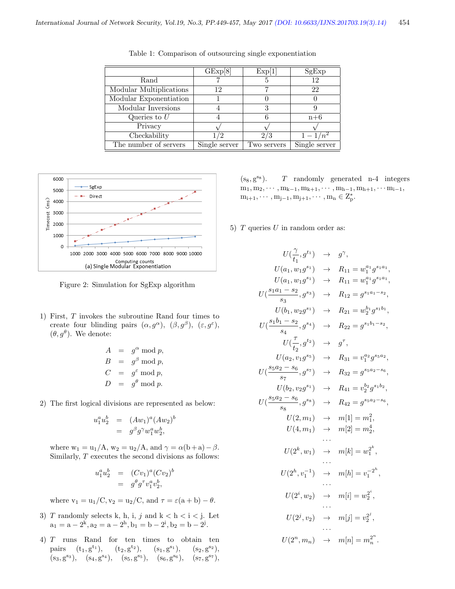|                         | GExp[8]       | Exp[1]      | SgExp             |
|-------------------------|---------------|-------------|-------------------|
| Rand                    |               | 5           | 12                |
| Modular Multiplications | 12            |             | 22                |
| Modular Exponentiation  |               |             |                   |
| Modular Inversions      |               | 3           |                   |
| Queries to $U$          |               |             | $n+6$             |
| Privacy                 |               |             |                   |
| Checkability            | /2            | 2/3         | $1 - 1$<br>$/n^2$ |
| The number of servers   | Single server | Two servers | Single server     |

Table 1: Comparison of outsourcing single exponentiation



Figure 2: Simulation for SgExp algorithm

1) First, T invokes the subroutine Rand four times to create four blinding pairs  $(\alpha, g^{\alpha})$ ,  $(\beta, g^{\beta})$ ,  $(\varepsilon, g^{\varepsilon})$ ,  $(\theta, g^{\theta})$ . We denote:

$$
A = g^{\alpha} \mod p,
$$
  
\n
$$
B = g^{\beta} \mod p,
$$
  
\n
$$
C = g^{\varepsilon} \mod p,
$$
  
\n
$$
D = g^{\theta} \mod p.
$$

2) The first logical divisions are represented as below:

$$
u_1^a u_2^b = (Aw_1)^a (Aw_2)^b = g^{\beta} g^{\gamma} w_1^a w_2^b,
$$

where  $w_1 = u_1/A$ ,  $w_2 = u_2/A$ , and  $\gamma = \alpha(b+a) - \beta$ . Similarly, T executes the second divisions as follows:

$$
u_1^a u_2^b = (Cv_1)^a (Cv_2)^b
$$
  
=  $g^{\theta} g^{\tau} v_1^a v_2^b$ ,

where  $v_1 = u_1/C$ ,  $v_2 = u_2/C$ , and  $\tau = \varepsilon(a + b) - \theta$ .

- 3) T randomly selects k, h, i, j and  $k < h < i < j$ . Let  $a_1 = a - 2^k$ ,  $a_2 = a - 2^h$ ,  $b_1 = b - 2^i$ ,  $b_2 = b - 2^j$ .
- 4) T runs Rand for ten times to obtain ten pairs  $(t_1, g^{t_1}),$  $(t_1), \t(t_2, g^{t_2}), \t(s_1, g)$  $(s_1), (s_2, g^{s_2}),$  $(s_3, g^{s_3}), (s_4, g^{s_4}), (s_5, g^{s_5}), (s_6, g^{s_6})$  $^{s_6}$ ),  $(s_7, g^{s_7})$ ,

 $(s_8, g^{s_8}).$  $T$  randomly generated n-4 integers  $m_1, m_2, \cdots, m_{k-1}, m_{k+1}, \cdots, m_{h-1}, m_{h+1}, \cdots m_{i-1},$  $m_{i+1}, \cdots, m_{j-1}, m_{j+1}, \cdots, m_n \in Z_p^*$ .

5)  $T$  queries  $U$  in random order as:

$$
U(\frac{\gamma}{t_1}, g^{t_1}) \rightarrow g^{\gamma},
$$
  
\n
$$
U(a_1, w_1g^{s_1}) \rightarrow R_{11} = w_1^{a_1}g^{s_1a_1},
$$
  
\n
$$
U(\frac{s_1a_1 - s_2}{s_3}, g^{s_3}) \rightarrow R_{12} = g^{s_1a_1 - s_2},
$$
  
\n
$$
U(b_1, w_2g^{s_1}) \rightarrow R_{21} = w_2^{b_1}g^{s_1b_1},
$$
  
\n
$$
U(\frac{s_1b_1 - s_2}{s_4}, g^{s_4}) \rightarrow R_{22} = g^{s_1b_1 - s_2},
$$
  
\n
$$
U(\frac{\tau}{t_2}, g^{t_2}) \rightarrow g^{\tau},
$$
  
\n
$$
U(a_2, v_1g^{s_5}) \rightarrow R_{31} = v_1^{a_2}g^{s_5a_2},
$$
  
\n
$$
U(\frac{s_5a_2 - s_6}{s_7}, g^{s_7}) \rightarrow R_{32} = g^{s_5a_2 - s_6},
$$
  
\n
$$
U(b_2, v_2g^{s_1}) \rightarrow R_{41} = v_2^{b_2}g^{s_1b_2},
$$
  
\n
$$
U(\frac{s_5a_2 - s_6}{s_8}, g^{s_8}) \rightarrow R_{42} = g^{s_5a_2 - s_6},
$$
  
\n
$$
U(2, m_1) \rightarrow m[1] = m_1^2,
$$
  
\n
$$
U(4, m_1) \rightarrow m[2] = m_2^4,
$$
  
\n
$$
\cdots
$$
  
\n
$$
U(2^k, w_1) \rightarrow m[k] = w_1^{2^k},
$$
  
\n
$$
\cdots
$$
  
\n
$$
U(2^k, v_1^{\mathbf{1}}) \rightarrow m[i] = v_2^{2^i},
$$
  
\n
$$
\cdots
$$
  
\n
$$
U(2^i, v_2) \rightarrow m[i] = w_2^{2^i},
$$
  
\n
$$
\cdots
$$
  
\n
$$
U(2^n, m_n) \rightarrow m[n] = m_n^{2^n}.
$$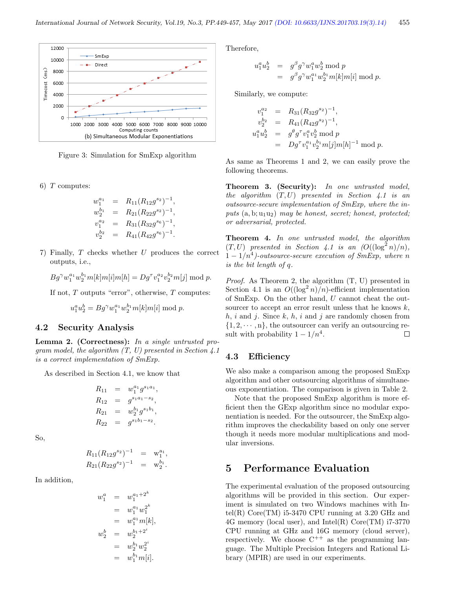

Figure 3: Simulation for SmExp algorithm

6)  $T$  computes:

$$
w_1^{a_1} = R_{11}(R_{12}g^{s_2})^{-1},
$$
  
\n
$$
w_2^{b_1} = R_{21}(R_{22}g^{s_2})^{-1},
$$
  
\n
$$
v_1^{a_2} = R_{31}(R_{32}g^{s_6})^{-1},
$$
  
\n
$$
v_2^{b_2} = R_{41}(R_{42}g^{s_6})^{-1}.
$$

7) Finally, T checks whether U produces the correct outputs, i.e.,

 $Bg^{\gamma}w_1^{a_1}w_2^{b_1}m[k]m[i]m[h] = Dg^{\tau}v_1^{a_2}v_2^{b_2}m[j] \bmod p.$ 

If not,  $T$  outputs "error", otherwise,  $T$  computes:

$$
u_1^a u_2^b = Bg^\gamma w_1^{a_1} w_2^{b_1} m[k] m[i] \bmod p.
$$

#### 4.2 Security Analysis

Lemma 2. (Correctness): In a single untrusted program model, the algorithm  $(T, U)$  presented in Section 4.1 is a correct implementation of SmExp.

As described in Section 4.1, we know that

$$
R_{11} = w_1^{a_1} g^{s_1 a_1},
$$
  
\n
$$
R_{12} = g^{s_1 a_1 - s_2},
$$
  
\n
$$
R_{21} = w_2^{b_1} g^{s_1 b_1},
$$
  
\n
$$
R_{22} = g^{s_1 b_1 - s_2}.
$$

So,

$$
R_{11}(R_{12}g^{s_2})^{-1} = w_1^{a_1},
$$
  
\n
$$
R_{21}(R_{22}g^{s_2})^{-1} = w_2^{b_1}.
$$

In addition,

$$
w_1^a = w_1^{a_1+2^k}
$$
  
\n
$$
= w_1^{a_1} w_1^{2^k}
$$
  
\n
$$
= w_1^{a_1} m[k],
$$
  
\n
$$
w_2^b = w_2^{b_1+2^i}
$$
  
\n
$$
= w_2^{b_1} w_2^{2^i}
$$
  
\n
$$
= w_1^{b_1} m[i].
$$

Therefore,

$$
u_1^a u_2^b = g^\beta g^\gamma w_1^a w_2^b \bmod p
$$
  
=  $g^\beta g^\gamma w_1^{a_1} w_2^{b_1} m[k] m[i] \bmod p.$ 

Similarly, we compute:

$$
v_1^{a_2} = R_{31}(R_{32}g^{s_2})^{-1},
$$
  
\n
$$
v_2^{b_2} = R_{41}(R_{42}g^{s_2})^{-1},
$$
  
\n
$$
u_1^{a}u_2^{b} = g^{\theta}g^{\tau}v_1^{a}v_2^{b} \bmod p
$$
  
\n
$$
= Dg^{\tau}v_1^{a_1}v_2^{b_1}m[j]m[h]^{-1} \bmod p.
$$

As same as Theorems 1 and 2, we can easily prove the following theorems.

Theorem 3. (Security): In one untrusted model, the algorithm  $(T, U)$  presented in Section 4.1 is an outsource-secure implementation of SmExp, where the inputs  $(a, b; u_1u_2)$  may be honest, secret; honest, protected; or adversarial, protected.

Theorem 4. In one untrusted model, the algorithm  $(T, U)$  presented in Section 4.1 is an  $(O((\log^2 n)/n))$ ,  $1-1/n^4$ )-outsource-secure execution of SmExp, where n is the bit length of q.

Proof. As Theorem 2, the algorithm (T, U) presented in Section 4.1 is an  $O((\log^2 n)/n)$ -efficient implementation of SmExp. On the other hand, U cannot cheat the outsourcer to accept an error result unless that he knows  $k$ ,  $h, i$  and j. Since  $k, h, i$  and j are randomly chosen from  $\{1, 2, \dots, n\}$ , the outsourcer can verify an outsourcing result with probability  $1 - 1/n^4$ .  $\Box$ 

#### 4.3 Efficiency

We also make a comparison among the proposed SmExp algorithm and other outsourcing algorithms of simultaneous exponentiation. The comparison is given in Table 2.

Note that the proposed SmExp algorithm is more efficient then the GExp algorithm since no modular exponentiation is needed. For the outsourcer, the SmExp algorithm improves the checkability based on only one server though it needs more modular multiplications and modular inversions.

### 5 Performance Evaluation

The experimental evaluation of the proposed outsourcing algorithms will be provided in this section. Our experiment is simulated on two Windows machines with Intel(R)  $Core(TM)$  i5-3470 CPU running at 3.20 GHz and 4G memory (local user), and Intel(R) Core(TM) i7-3770 CPU running at GHz and 16G memory (cloud server), respectively. We choose  $C^{++}$  as the programming language. The Multiple Precision Integers and Rational Library (MPIR) are used in our experiments.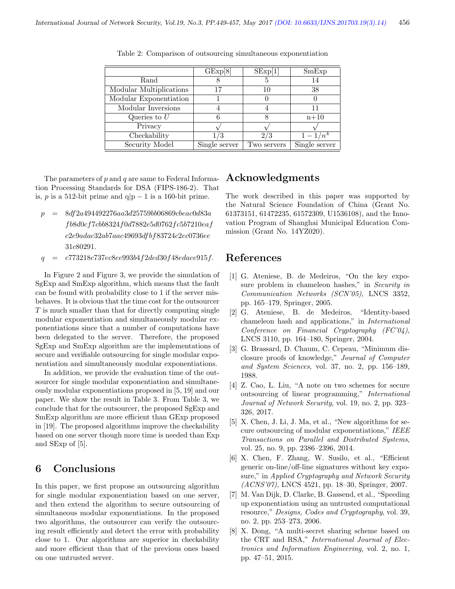|                         | GExp[8]       | SExp[1]     | SmExp         |
|-------------------------|---------------|-------------|---------------|
| Rand                    |               |             | 14            |
| Modular Multiplications | 17            | 10          | 38            |
| Modular Exponentiation  |               |             |               |
| Modular Inversions      |               |             | 11            |
| Queries to $U$          |               |             | $n+10$        |
| Privacy                 |               |             |               |
| Checkability            | 1/3           | 2/3         | $1-1/n^4$     |
| Security Model          | Single server | Two servers | Single server |

Table 2: Comparison of outsourcing simultaneous exponentiation

The parameters of  $p$  and  $q$  are same to Federal Information Processing Standards for DSA (FIPS-186-2). That is, p is a 512-bit prime and  $q|p-1$  is a 160-bit prime.

- $p = 8df2a494492276aa3d25759bb06869cbeac0d83a$ f b8d0cf7cbb8324f0d7882e5d0762f c5b7210eaf c2e9adac32ab7aac49693df bf83724c2ec0736ee 31c80291.
- $q = c773218c737ec8ee993b4f2ded30f48edace915f.$

In Figure 2 and Figure 3, we provide the simulation of SgExp and SmExp algorithm, which means that the fault can be found with probability close to 1 if the server misbehaves. It is obvious that the time cost for the outsourcer T is much smaller than that for directly computing single modular exponentiation and simultaneously modular exponentiations since that a number of computations have been delegated to the server. Therefore, the proposed SgExp and SmExp algorithm are the implementations of secure and verifiable outsourcing for single modular exponentiation and simultaneously modular exponentiations.

In addition, we provide the evaluation time of the outsourcer for single modular exponentiation and simultaneously modular exponentiations proposed in [5, 19] and our paper. We show the result in Table 3. From Table 3, we conclude that for the outsourcer, the proposed SgExp and SmExp algorithm are more efficient than GExp proposed in [19]. The proposed algorithms improve the checkability based on one server though more time is needed than Exp and SExp of [5].

## 6 Conclusions

In this paper, we first propose an outsourcing algorithm for single modular exponentiation based on one server, and then extend the algorithm to secure outsourcing of simultaneous modular exponentiations. In the proposed two algorithms, the outsourcer can verify the outsourcing result efficiently and detect the error with probability close to 1. Our algorithms are superior in checkability and more efficient than that of the previous ones based on one untrusted server.

### Acknowledgments

The work described in this paper was supported by the Natural Science Foundation of China (Grant No. 61373151, 61472235, 61572309, U1536108), and the Innovation Program of Shanghai Municipal Education Commission (Grant No. 14YZ020).

### References

- [1] G. Ateniese, B. de Medeiros, "On the key exposure problem in chameleon hashes," in Security in Communication Networks (SCN'05), LNCS 3352, pp. 165–179, Springer, 2005.
- [2] G. Ateniese, B. de Medeiros, "Identity-based chameleon hash and applications," in International Conference on Financial Cryptography (FC'04), LNCS 3110, pp. 164–180, Springer, 2004.
- [3] G. Brassard, D. Chaum, C. Cepeau, "Minimum disclosure proofs of knowledge," Journal of Computer and System Sciences, vol. 37, no. 2, pp. 156–189, 1988.
- [4] Z. Cao, L. Liu, "A note on two schemes for secure outsourcing of linear programming," International Journal of Network Security, vol. 19, no. 2, pp. 323– 326, 2017.
- [5] X. Chen, J. Li, J. Ma, et al., "New algorithms for secure outsourcing of modular exponentiations," IEEE Transactions on Parallel and Distributed Systems, vol. 25, no. 9, pp. 2386–2396, 2014.
- [6] X. Chen, F. Zhang, W. Susilo, et al., "Efficient generic on-line/off-line signatures without key exposure," in Applied Cryptography and Network Security (ACNS'07), LNCS 4521, pp. 18–30, Springer, 2007.
- [7] M. Van Dijk, D. Clarke, B. Gassend, et al., "Speeding up exponentiation using an untrusted computational resource," Designs, Codes and Cryptography, vol. 39, no. 2, pp. 253–273, 2006.
- [8] X. Dong, "A multi-secret sharing scheme based on the CRT and RSA," International Journal of Electronics and Information Engineering, vol. 2, no. 1, pp. 47–51, 2015.